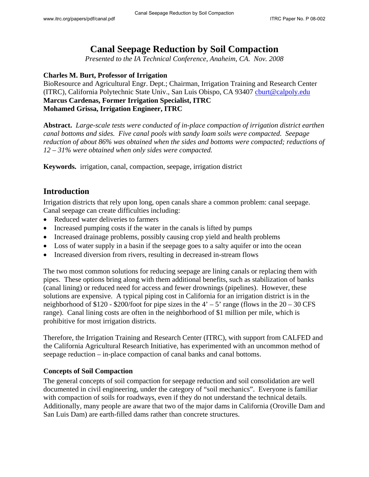# **Canal Seepage Reduction by Soil Compaction**

*Presented to the IA Technical Conference, Anaheim, CA. Nov. 2008* 

#### **Charles M. Burt, Professor of Irrigation**

BioResource and Agricultural Engr. Dept.; Chairman, Irrigation Training and Research Center (ITRC), California Polytechnic State Univ., San Luis Obispo, CA 93407 [cburt@calpoly.edu](mailto:cburt@calpoly.edu) **Marcus Cardenas, Former Irrigation Specialist, ITRC Mohamed Grissa, Irrigation Engineer, ITRC** 

**Abstract.** *Large-scale tests were conducted of in-place compaction of irrigation district earthen canal bottoms and sides. Five canal pools with sandy loam soils were compacted. Seepage reduction of about 86% was obtained when the sides and bottoms were compacted; reductions of 12 – 31% were obtained when only sides were compacted.* 

**Keywords.** irrigation, canal, compaction, seepage, irrigation district

### **Introduction**

Irrigation districts that rely upon long, open canals share a common problem: canal seepage. Canal seepage can create difficulties including:

- Reduced water deliveries to farmers
- Increased pumping costs if the water in the canals is lifted by pumps
- Increased drainage problems, possibly causing crop yield and health problems
- Loss of water supply in a basin if the seepage goes to a salty aquifer or into the ocean
- Increased diversion from rivers, resulting in decreased in-stream flows

The two most common solutions for reducing seepage are lining canals or replacing them with pipes. These options bring along with them additional benefits, such as stabilization of banks (canal lining) or reduced need for access and fewer drownings (pipelines). However, these solutions are expensive. A typical piping cost in California for an irrigation district is in the neighborhood of \$120 - \$200/foot for pipe sizes in the  $4' - 5'$  range (flows in the  $20 - 30$  CFS range). Canal lining costs are often in the neighborhood of \$1 million per mile, which is prohibitive for most irrigation districts.

Therefore, the Irrigation Training and Research Center (ITRC), with support from CALFED and the California Agricultural Research Initiative, has experimented with an uncommon method of seepage reduction – in-place compaction of canal banks and canal bottoms.

#### **Concepts of Soil Compaction**

The general concepts of soil compaction for seepage reduction and soil consolidation are well documented in civil engineering, under the category of "soil mechanics". Everyone is familiar with compaction of soils for roadways, even if they do not understand the technical details. Additionally, many people are aware that two of the major dams in California (Oroville Dam and San Luis Dam) are earth-filled dams rather than concrete structures.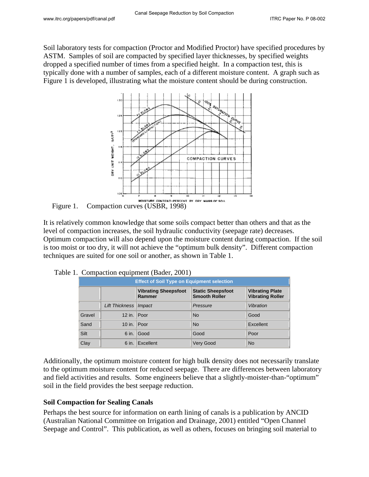Soil laboratory tests for compaction (Proctor and Modified Proctor) have specified procedures by ASTM. Samples of soil are compacted by specified layer thicknesses, by specified weights dropped a specified number of times from a specified height. In a compaction test, this is typically done with a number of samples, each of a different moisture content. A graph such as Figure 1 is developed, illustrating what the moisture content should be during construction.



Figure 1. Compaction curves (USBR, 1998)

It is relatively common knowledge that some soils compact better than others and that as the level of compaction increases, the soil hydraulic conductivity (seepage rate) decreases. Optimum compaction will also depend upon the moisture content during compaction. If the soil is too moist or too dry, it will not achieve the "optimum bulk density". Different compaction techniques are suited for one soil or another, as shown in Table 1.

| <b>Effect of Soil Type on Equipment selection</b> |                         |                                       |                                                  |                                                   |  |  |  |
|---------------------------------------------------|-------------------------|---------------------------------------|--------------------------------------------------|---------------------------------------------------|--|--|--|
|                                                   |                         | <b>Vibrating Sheepsfoot</b><br>Rammer | <b>Static Sheepsfoot</b><br><b>Smooth Roller</b> | <b>Vibrating Plate</b><br><b>Vibrating Roller</b> |  |  |  |
|                                                   | Lift Thickness   Impact |                                       | Pressure                                         | Vibration                                         |  |  |  |
| Gravel                                            | 12 in. $ $ Poor         |                                       | <b>No</b>                                        | Good                                              |  |  |  |
| Sand                                              | 10 in. Poor             |                                       | <b>No</b>                                        | Excellent                                         |  |  |  |
| Silt                                              |                         | 6 in. Good                            | Good                                             | Poor                                              |  |  |  |
| Clay                                              |                         | 6 in. Excellent                       | <b>Very Good</b>                                 | <b>No</b>                                         |  |  |  |

| Table 1. Compaction equipment (Bader, 2001) |  |  |
|---------------------------------------------|--|--|
|                                             |  |  |

Additionally, the optimum moisture content for high bulk density does not necessarily translate to the optimum moisture content for reduced seepage. There are differences between laboratory and field activities and results. Some engineers believe that a slightly-moister-than-"optimum" soil in the field provides the best seepage reduction.

#### **Soil Compaction for Sealing Canals**

Perhaps the best source for information on earth lining of canals is a publication by ANCID (Australian National Committee on Irrigation and Drainage, 2001) entitled "Open Channel Seepage and Control". This publication, as well as others, focuses on bringing soil material to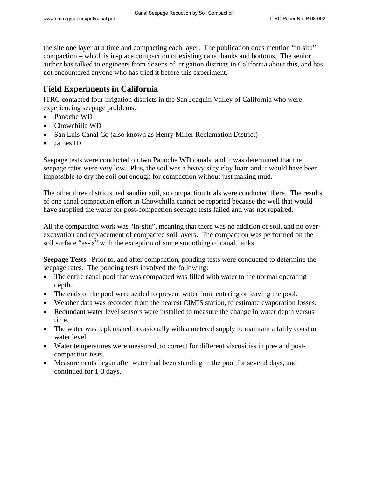the site one layer at a time and compacting each layer. The publication does mention "in situ" compaction – which is in-place compaction of existing canal banks and bottoms. The senior author has talked to engineers from dozens of irrigation districts in California about this, and has not encountered anyone who has tried it before this experiment.

## **Field Experiments in California**

ITRC contacted four irrigation districts in the San Joaquin Valley of California who were experiencing seepage problems:

- Panoche WD
- Chowchilla WD
- San Luis Canal Co (also known as Henry Miller Reclamation District)
- James ID

Seepage tests were conducted on two Panoche WD canals, and it was determined that the seepage rates were very low. Plus, the soil was a heavy silty clay loam and it would have been impossible to dry the soil out enough for compaction without just making mud.

The other three districts had sandier soil, so compaction trials were conducted there. The results of one canal compaction effort in Chowchilla cannot be reported because the well that would have supplied the water for post-compaction seepage tests failed and was not repaired.

All the compaction work was "in-situ", meaning that there was no addition of soil, and no overexcavation and replacement of compacted soil layers. The compaction was performed on the soil surface "as-is" with the exception of some smoothing of canal banks.

**Seepage Tests**. Prior to, and after compaction, ponding tests were conducted to determine the seepage rates. The ponding tests involved the following:

- The entire canal pool that was compacted was filled with water to the normal operating depth.
- The ends of the pool were sealed to prevent water from entering or leaving the pool.
- Weather data was recorded from the nearest CIMIS station, to estimate evaporation losses.
- Redundant water level sensors were installed to measure the change in water depth versus time.
- The water was replenished occasionally with a metered supply to maintain a fairly constant water level.
- Water temperatures were measured, to correct for different viscosities in pre- and postcompaction tests.
- Measurements began after water had been standing in the pool for several days, and continued for 1-3 days.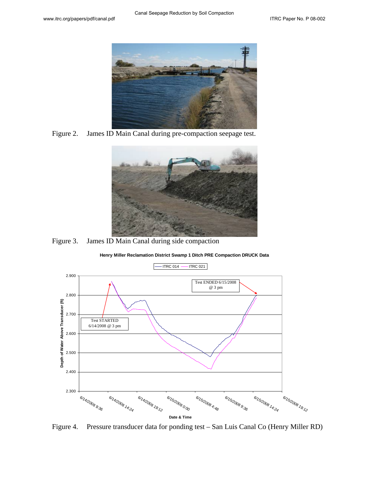

Figure 2. James ID Main Canal during pre-compaction seepage test.



Figure 3. James ID Main Canal during side compaction



**Henry Miller Reclamation District Swamp 1 Ditch PRE Compaction DRUCK Data**

Figure 4. Pressure transducer data for ponding test – San Luis Canal Co (Henry Miller RD)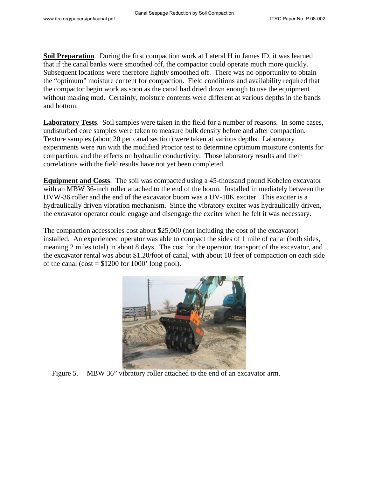**Soil Preparation**. During the first compaction work at Lateral H in James ID, it was learned that if the canal banks were smoothed off, the compactor could operate much more quickly. Subsequent locations were therefore lightly smoothed off. There was no opportunity to obtain the "optimum" moisture content for compaction. Field conditions and availability required that the compactor begin work as soon as the canal had dried down enough to use the equipment without making mud. Certainly, moisture contents were different at various depths in the bands and bottom.

**Laboratory Tests**. Soil samples were taken in the field for a number of reasons. In some cases, undisturbed core samples were taken to measure bulk density before and after compaction. Texture samples (about 20 per canal section) were taken at various depths. Laboratory experiments were run with the modified Proctor test to determine optimum moisture contents for compaction, and the effects on hydraulic conductivity. Those laboratory results and their correlations with the field results have not yet been completed.

**Equipment and Costs**. The soil was compacted using a 45-thousand pound Kobelco excavator with an MBW 36-inch roller attached to the end of the boom. Installed immediately between the UVW-36 roller and the end of the excavator boom was a UV-10K exciter. This exciter is a hydraulically driven vibration mechanism. Since the vibratory exciter was hydraulically driven, the excavator operator could engage and disengage the exciter when he felt it was necessary.

The compaction accessories cost about \$25,000 (not including the cost of the excavator) installed. An experienced operator was able to compact the sides of 1 mile of canal (both sides, meaning 2 miles total) in about 8 days. The cost for the operator, transport of the excavator, and the excavator rental was about \$1.20/foot of canal, with about 10 feet of compaction on each side of the canal (cost  $= $1200$  for 1000' long pool).



Figure 5. MBW 36" vibratory roller attached to the end of an excavator arm.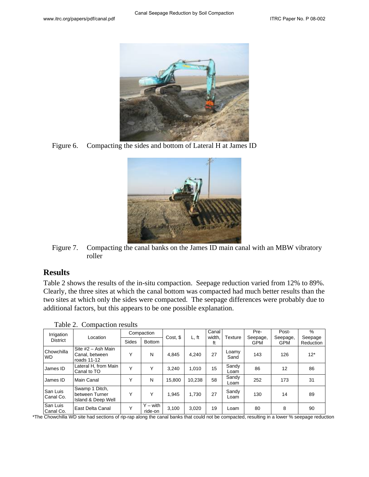

Figure 6. Compacting the sides and bottom of Lateral H at James ID



Figure 7. Compacting the canal banks on the James ID main canal with an MBW vibratory roller

### **Results**

Table 2 shows the results of the in-situ compaction. Seepage reduction varied from 12% to 89%. Clearly, the three sites at which the canal bottom was compacted had much better results than the two sites at which only the sides were compacted. The seepage differences were probably due to additional factors, but this appears to be one possible explanation.

| Irrigation<br><b>District</b> | Location                                               | Compaction   |                       |          |        | Canal        |               | Pre-                   | Post-                  | %                    |
|-------------------------------|--------------------------------------------------------|--------------|-----------------------|----------|--------|--------------|---------------|------------------------|------------------------|----------------------|
|                               |                                                        | <b>Sides</b> | <b>Bottom</b>         | Cost, \$ | L, ft  | width,<br>ft | Texture       | Seepage,<br><b>GPM</b> | Seepage,<br><b>GPM</b> | Seepage<br>Reduction |
| Chowchilla<br><b>WD</b>       | Site #2 - Ash Main<br>Canal, between<br>roads 11-12    | Υ            | N                     | 4.845    | 4,240  | 27           | Loamy<br>Sand | 143                    | 126                    | $12*$                |
| James ID                      | Lateral H, from Main<br>Canal to TO                    | Υ            | v                     | 3.240    | 1.010  | 15           | Sandy<br>Loam | 86                     | 12                     | 86                   |
| James ID                      | Main Canal                                             | Υ            | N                     | 15.800   | 10.238 | 58           | Sandy<br>Loam | 252                    | 173                    | 31                   |
| San Luis<br>Canal Co.         | Swamp 1 Ditch,<br>between Turner<br>Island & Deep Well | Υ            | v                     | 1.945    | 1,730  | 27           | Sandy<br>Loam | 130                    | 14                     | 89                   |
| San Luis<br>Canal Co.         | East Delta Canal                                       | $\checkmark$ | $Y - with$<br>ride-on | 3,100    | 3,020  | 19           | Loam          | 80                     | 8                      | 90                   |

Table 2. Compaction results

\*The Chowchilla WD site had sections of rip-rap along the canal banks that could not be compacted, resulting in a lower % seepage reduction